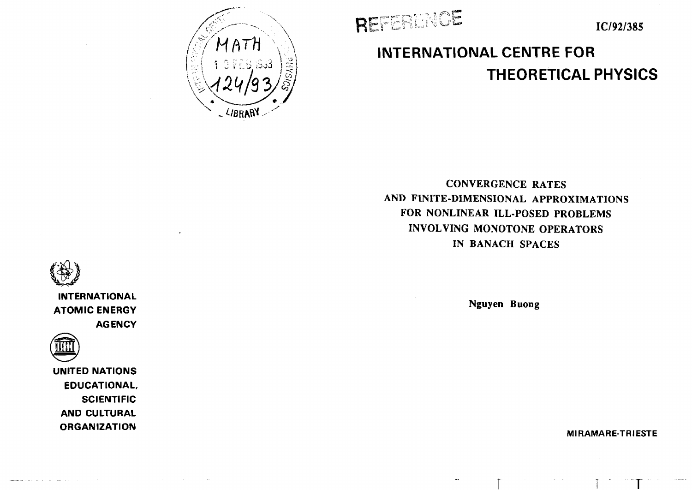



**<sup>w</sup> IC/92/385**

# **INTERNATIONAL CENTRE FOR THEORETICAL PHYSICS**

CONVERGENCE RATES AND FINITE-DIMENSIONAL APPROXIMATIONS FOR NONLINEAR ILL-POSED PROBLEMS INVOLVING MONOTONE OPERATORS IN BANACH SPACES

Nguyen Buong

**Ml RAM A RE-TRIESTE**



**INTERNATIONAL ATOMIC ENERGY AGENCY**



**UNITED NATIONS EDUCATIONAL, SCIENTIFIC AND CULTURAL ORGANIZATION**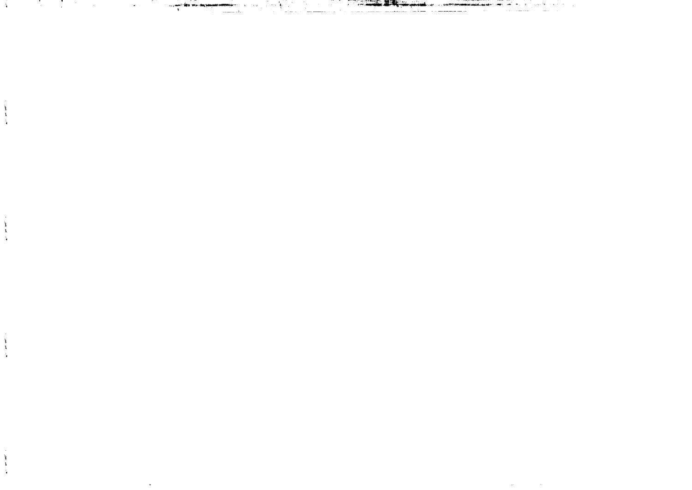and the companion of the companion of the companion of the companion of the companion of the companion of the companion of the companion of the companion of the companion of the companion of the companion of the companion

 $\mathcal{L}_{\text{max}}$  and  $\mathcal{L}_{\text{max}}$  . In the  $\mathcal{L}_{\text{max}}$ 

 $\begin{array}{c} \mathbf{1} \\ \mathbf{1} \\ \mathbf{1} \end{array}$ 

 $\begin{array}{c} \mathbf{1} \\ \mathbf{1} \\ \mathbf{1} \end{array}$ 

 $\begin{array}{c} \mathbf{1} \\ \mathbf{1} \\ \mathbf{1} \end{array}$ 

 $\begin{array}{c} \mathbf{k} \\ \mathbf{k} \\ \mathbf{k} \end{array}$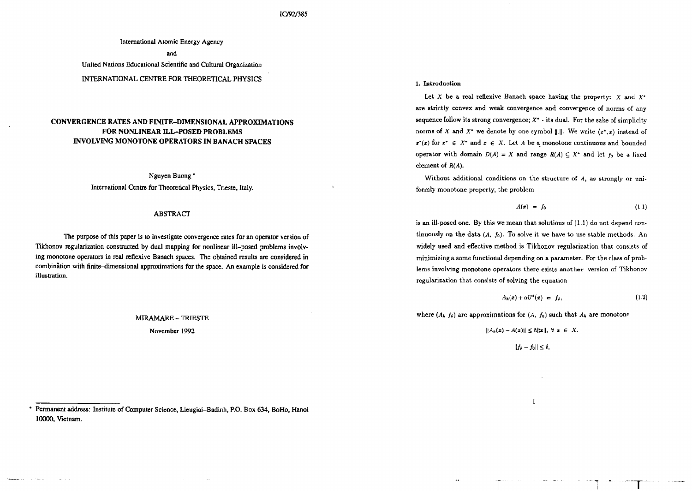#### IC/92/385

#### International Atomic Energy Agency

and United Nations Educational Scientific and Cultural Organization INTERNATIONAL CENTRE FOR THEORETICAL PHYSICS

# **CONVERGENCE RATES AND FINITE-DIMENSIONAL APPROXIMATIONS FOR NONLINEAR ILL-POSED PROBLEMS**

#### **INVOLVING MONOTONE OPERATORS IN BANACH SPACES**

Nguyen Buong \* International Centre for Theoretical Physics, Trieste, Italy.

## ABSTRACT

The purpose of this paper is to investigate convergence rates for an operator version of Tikhonov regularization constructed by dual mapping for nonlinear ill-posed problems involving monotone operators in real reflexive Banach spaces. The obtained results are considered in combination with finite-dimensional approximations for the space. An example is considered for illustration.

#### MIRAMARE - TRIESTE

November 1992

### 1. Introduction

Let *X* be a real reflexive Banach space having the property: *X* and *X'* are strictly convex and weak convergence and convergence of norms of any sequence follow its strong convergence;  $X^*$  - its dual. For the sake of simplicity norms of *X* and *X*<sup>\*</sup> we denote by one symbol  $\| \cdot \|$ . We write  $(z^*, z)$  instead of  $x^*(x)$  for  $x^* \in X^*$  and  $x \in X$ . Let A be a monotone continuous and bounded operator with domain  $D(A) = X$  and range  $R(A) \subseteq X^*$  and let  $f_0$  be a fixed element of *R(A).*

Without additional conditions on the structure of *A,* as strongly or uniformly monotone property, the problem

$$
A(x) = f_0 \tag{1.1}
$$

is an ill-posed one. By this we mean that solutions of (1.1) do not depend continuously on the data  $(A, f_0)$ . To solve it we have to use stable methods. An widely used and effective method is Tikhonov regularization that consists of minimizing a some functional depending on a parameter. For the class of problems involving monotone operators there esists another version of Tikhonov regularization that consists of solving the equation

$$
A_h(x) + \alpha U^*(x) = f_{\delta}, \qquad (1.2)
$$

where  $(A<sub>k</sub> f<sub>6</sub>)$  are approximations for  $(A<sub>k</sub> f<sub>0</sub>)$  such that  $A<sub>k</sub>$  are monotone

**T**

 $\|A_h(x) - A(x)\| \le h\|x\|, \forall x \in X,$ 

 $||f_{\delta}-f_0|| \leq \delta,$ 

 $\mathbf{I}$ 

**Contractor** 

Permanent address: Institute of Computer Science, Lieugiai-Badinh, P.O. Box 634, BoHo, Hanoi 10000, Vietnam.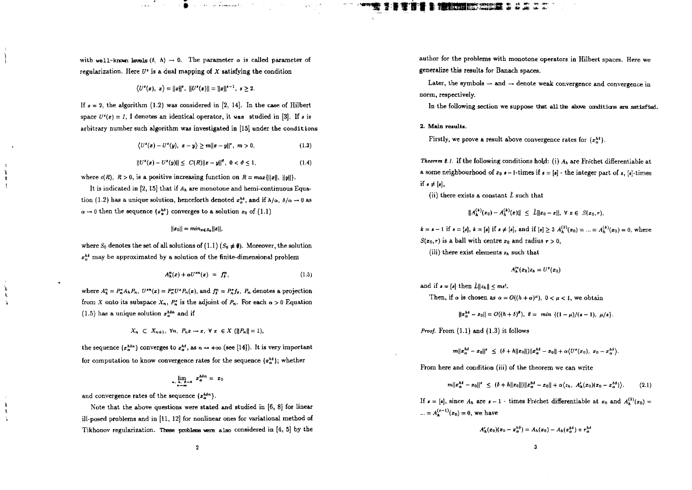with well-known levels  $(\delta, h) \rightarrow 0$ . The parameter  $\alpha$  is called parameter of regularization. Here  $U^*$  is a dual mapping of  $X$  satisfying the condition

المائيون المعرفة المواد المعادلات.<br>المائيون المعرفة المواد المعادلات

$$
\langle U''(x), x \rangle = \|x\|^r, \|U''(x)\| = \|x\|^{s-1}, s \ge 2.
$$

If  $s = 2$ , the algorithm (1.2) was considered in [2, 14]. In the case of Hilbert space  $U'(x) = I$ , I denotes an identical operator, it was studied in [3]. If s is arbitrary number such algorithm was investigated in [15] under the conditions

$$
\langle U^*(x) - U^*(y), \ z - y \rangle \ge m||x - y||^*, \ m > 0,
$$
\n(1.3)

$$
||U''(x) - U''(y)|| \leq C(R)||x - y||^{\theta}, \ 0 < \theta \leq 1,\tag{1.4}
$$

where  $c(R)$ ,  $R > 0$ , is a positive increasing function on  $R = max{||x||, ||y||}$ .

÷.

It is indicated in [2, 15] that if *Ai,* are monotone and hemi-continuous Equation (1.2) has a unique solution, henceforth denoted  $x_a^{h\delta}$ , and if  $h/\alpha$ ,  $\delta/\alpha \to 0$  as  $\alpha \to 0$  then the sequence  $\{x_{\alpha}^{h\delta}\}$  converges to a solution  $x_0$  of (1.1)

#### $||x_0|| = min_{x \in S_0} ||x||$ ,

where  $S_0$  denotes the set of all solutions of (1.1)  $(S_0 \neq \emptyset)$ . Moreover, the solution  $x_i^{h\delta}$  may be approximated by a solution of the finite-dimensional problem

$$
A_h^n(x) + \alpha U^m(x) = f_h^n,
$$
\n(1.5)

where  $A_h^n = P_n^* A_h P_n$ ,  $U^{*n}(x) = P_n^* U^* P_n(x)$ , and  $f_b^n = P_n^* f_b$ ,  $P_n$  denotes a projection from *X* onto its subspace  $X_n$ ,  $P_n^*$  is the adjoint of  $P_n$ . For each  $\alpha > 0$  Equation (1.5) has a unique solution  $x_a^{h\delta n}$  and if

$$
X_n \subset X_{n+1}, \ \forall n, \ P_n x \to x, \ \forall \ x \in X \ (\|P_n\| = 1),
$$

the sequence  $\{x^{h\delta n}_n\}$  converges to  $x^{h\delta}_n$ , as  $n \to +\infty$  (see [14]). It is very important for computation to know convergence rates for the sequence  $\{x_n^{h\delta}\}$ ; whether

$$
\lim_{\alpha, \ \lambda, \ \theta \to \infty} x_{\alpha}^{h\delta n} = x_0
$$

and convergence rates of the sequence  $\{x_a^{h\delta n}\}.$ 

Note that the above questions were stated and studied in [6, 8] for linear ill-posed problems and in [11, 12] for nonlinear ones for variational method of Tikhonov regularization. These pcbblans were also considered in [4, 5] by the author for the problems with monotone operators in Hilbert spaces. Here we generalize this results for Banach spaces.

Later, the symbols  $-$  and  $\rightarrow$  denote weak convergence and convergence in norm, respectively.

In the following section we suppose that all the above conditions are satisfied.

#### 2. Main results.

**f**

Firstly, we prove a result above convergence rates for  $\{x_{\alpha}^{M}\}.$ 

*Theorem 8.1.* If the following conditions hold: (i)  $A_k$  are Frechet differentiable at a some neighbourhood of  $x_0$   $s-1$ -times if  $s = [s]$  - the integer part of s,  $[s]$ -times if  $s \neq [s]$ ,

(ii) there exists a constant *L* such that

$$
||A_h^{(k)}(x_0)-A_h^{(k)}(x)|| \leq \tilde{L}||x_0-x||, \ \forall \ x \in S(x_0,r),
$$

 $k = s - 1$  if  $s = [s], k = [s]$  if  $s \neq [s]$ , and if  $[s] \geq 3$   $A_{\lambda}^{(3)}(x_0) = ... = A_{\lambda}^{(s)}(x_0) = 0$ , where  $S(x_0,r)$  is a ball with centre  $x_0$  and radius  $r > 0$ ,

(iii) there exist elements  $z_h$  such that

#### $A_h''(x_0)x_h = U''(x_0)$

and if  $s = [s]$  then  $\tilde{L}||z_h|| < m\epsilon$ .

Then, if  $\alpha$  is chosen as  $\alpha = O((h + \alpha)^{\mu})$ ,  $0 < \mu < 1$ , we obtain

$$
||x_{\alpha}^{h\delta}-x_0||=O((h+\delta)^{\theta}), \ \theta=\min\{(1-\mu)/(s-1), \ \mu/s\}
$$

*Proof.* From (1.1) and (1.3) it follows

$$
m||z_{\alpha}^{h\delta}-x_0||^s \leq ( \delta + h||x_0||) ||x_{\alpha}^{h\delta}-x_0|| + \alpha \langle U^s(x_0), x_0-x_{\alpha}^{h\delta} \rangle.
$$

From here and condition (iii) of the theorem we can write

$$
m||x_{\alpha}^{h\delta}-x_0||^{\epsilon} \leq (\delta+h||x_0||)||x_{\alpha}^{h\delta}-x_0||+\alpha\langle z_h, A_h'(x_0)(x_0-x_{\alpha}^{h\delta})\rangle. \qquad (2.1)
$$

If  $s = [s]$ , since  $A_{\lambda}$  are  $s - 1$  - times Frechet differentiable at  $x_0$  and  $A_{\lambda}^{(2)}(x_0) =$ ... =  $A_{\lambda}^{(s-1)}(x_0) = 0$ , we have

$$
A_h'(x_0)(x_0-x_\alpha^{h\delta})=A_h(x_0)-A_h(x_\alpha^{h\delta})+r_\alpha^{h\delta}
$$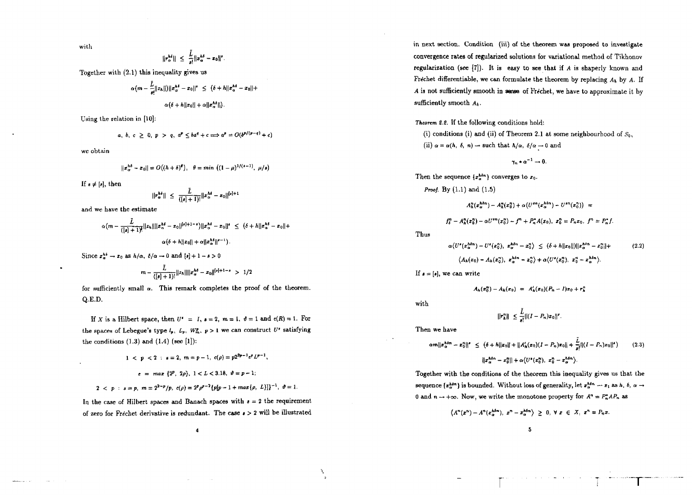with

$$
||r_\alpha^{h\delta}|| \leq \frac{\bar{L}}{s!}||x_\alpha^{h\delta}-x_0||^{\bullet}.
$$

Together with (2.1) this inequality gives us

 $\alpha(m-\frac{\hat{L}}{a}||z_h||)||x_a^{h\delta}-x_0||^s \leq ( \delta + h||x_a^{h\delta}-x_0||+$  $\alpha(\delta + h||x_0|| + \alpha||x^{h\delta}_\alpha||).$ 

Using the relation in [10]:

 $a, b, c \geq 0, p > q, a^p \leq ba^q + c \Longrightarrow a^p$ 

we obtain

$$
|x_{\alpha}^{h\delta}-x_0||=O((h+\delta)^{\theta}), \quad \theta=min((1-\mu)^{1/(\theta-1)}, \ \mu/s
$$

If  $s \neq [s]$ , then

$$
||r_{\alpha}^{h\delta}|| \leq \frac{L}{([s]+1)!}||x_{\alpha}^{h\delta}-x_0||^{[s]+1}.
$$

and we have the estimate

$$
\alpha(m-\frac{\tilde{L}}{(|s|+1)!}||x_h||||x_{\alpha}^{h\delta}-x_0||^{[s]+1-s})||x_{\alpha}^{h\delta}-x_0||^s \leq ( \delta + h||x_{\alpha}^{h\delta}-x_0||+\\ \alpha(\delta + h||x_0|| + \alpha||x_{\alpha}^{h\delta}||^{s-1}).
$$

Since  $x_{\alpha}^{h\delta} \to x_0$  as  $h/\alpha$ ,  $\delta/\alpha \to 0$  and  $[s]+1-s>0$ 

$$
m - \frac{\tilde{L}}{([s]+1)!} ||z_h|| ||x_{\alpha}^{h\delta} - x_0||^{[s]+1-s} > 1/2
$$

for sufficiently small *a.* This remark completes the proof of the theorem. Q.E.D.

If X is a Hilbert space, then  $U' = I$ ,  $s = 2$ ,  $m = 1$ ,  $\theta = 1$  and  $c(R) = 1$ . For the spaces of Lebegue's type  $l_p$ ,  $L_p$ ,  $W_m^p$ ,  $p > 1$  we can construct  $U^*$  satisfying the conditions  $(1.3)$  and  $(1.4)$  (see [1]):

$$
1 < p < 2 : s = 2, m = p - 1, c(\rho) = p2^{2p-1}e^p L^{p-1},
$$

$$
e = \max \{2^p, 2\rho\}, \ 1 < L < 3.18, \ \vartheta = p - 1;
$$

$$
2 < p : s = p, m = 2^{2-p}/p, c(\rho) = 2^p \rho^{p-2} \{p[p-1 + max\{p, L\}]\}^{-1}, \ \vartheta = 1.
$$

In the case of Hilbert spaces and Banach spaces with  $s = 2$  the requirement of zero for Pre'chet derivative is redundant. The case *t >* 2 will be illustrated

in next section. Condition (iii) of the theorem was proposed to investigate convergence rates of regularized solutions for variational method of Tikhonov regularization (see [7]). It is easy to see that if *A* is shaperly known and Frechet differentiable, we can formulate the theorem by replacing *A\** by *A. It A* is not sufficiently smooth in sense of Frechet, we have to approximate it by sufficiently smooth  $A_h$ .

*Theorem S,2.* If the following conditions hold:

(i) conditions (i) and (ii) of Theorem 2.1 at some neighbourhood of  $S_0$ ,

(ii)  $\alpha = \alpha(h, \delta, n) \rightarrow \text{such that } h/\alpha, \delta/\alpha \rightarrow 0 \text{ and }$ 

 $\gamma_n + \alpha^{-1} \to 0.$ 

Then the sequence  $\{x_a^{h\delta n}\}$  converges to  $x_0$ .

*Proof,* By (1.1) and (1.5)

$$
A_h^n(x_0^{h\delta n}) - A_h^n(x_0^n) + \alpha(U^{m}(x_0^{h\delta n}) - U^{m}(x_0^n)) =
$$

$$
f_3^n - A_h^n(x_0^n) - \alpha U^{rn}(x_0^n) - f^n + P_n^n A(x_0), \ x_0^n = P_n x_0, \ f^n \approx P_n^n f.
$$

Thus

$$
\alpha \langle U^*(x_a^{h\delta n}) - U^*(x_0^n), x_a^{h\delta n} - x_0^n \rangle \leq (\delta + h ||x_0||) ||x_a^{h\delta n} - x_0^n|| + \qquad (2.2)
$$

$$
\langle A_h(x_0)-A_h(x_0^n), x_\alpha^{h\delta n}-x_0^n\rangle+\alpha\langle U^*(x_0^n), x_0^n-x_\alpha^{h\delta n}\rangle.
$$

If  $s = [s]$ , we can write

$$
A_h(x_0^n) - A_h(x_0) = A'_h(x_0)(P_n - I)x_0 + r_h^n
$$

with

Ą.

$$
||r_h^n|| \leq \frac{L}{s!}||(I-P_n)x_0||^s.
$$

 $\mathbf{z}$ 

Then we have

$$
\alpha m ||x_{\alpha}^{h\delta n} - z_0^n||^s \leq (\delta + h||x_0|| + ||A_h'(x_0)(I - P_n)x_0|| + \frac{L}{s!}||(I - P_n)x_0||^s)
$$
(2.3)  

$$
||x_{\alpha}^{h\delta n} - x_0^n|| + \alpha \langle U^s(x_0^n), x_0^n - x_{\alpha}^{h\delta n} \rangle.
$$

Together with the conditions of the theorem this inequality gives us that the sequence  $\{x^{h\delta n}_{\alpha}\}$  is bounded. Without loss of generality, let  $x^{h\delta n}_{\alpha} - x_1$  as *h*, *b*,  $\alpha \rightarrow$ 0 and  $n \rightarrow +\infty$ . Now, we write the monotone property for  $A^n = P^n_A A P_n$  as

$$
\left\langle A^{n}(x^{n})-A^{n}(x_{\alpha}^{h\delta n}), x^{n}-x_{\alpha}^{h\delta n}\right\rangle \geq 0, \forall x \in X, x^{n}=P_{n}x.
$$

**f"**

 $\overline{4}$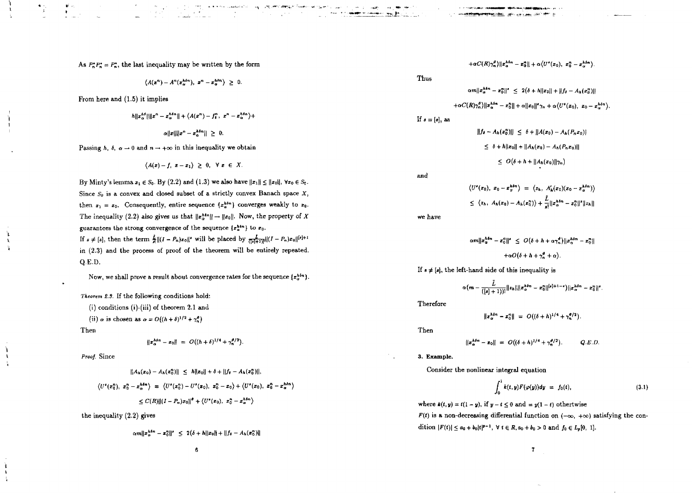As  $P_n^* P_n^* = P_n^*$ , the last inequality may be written by the form

$$
\langle A(x^n) - A^n(x_n^{\lambda\delta n}), x^n - x_n^{\lambda\delta n} \rangle \geq 0.
$$

From here and (1.5) it implies

$$
h||x_\alpha^{h\delta}||||x^\alpha-x_\alpha^{h\delta n}||+\langle A(x^n)-f_\delta^n,\;x^n-x_\alpha^{h\delta n}\rangle.
$$

 $\alpha \|x\| \|x^n - x_\alpha^{\text{Min}}\| \geq 0.$ 

Passing h,  $\delta$ ,  $\alpha \to 0$  and  $n \to +\infty$  in this inequality we obtain

$$
\langle A(x)-f, x-x_1\rangle \geq 0, \forall x \in X.
$$

By Minty's lemma  $x_1 \in S_0$ . By (2.2) and (1.3) we also have  $||x_1|| \le ||x_0||$ ,  $\forall x_0 \in S_0$ . Since  $S_0$  is a convex and closed subset of a strictly convex Banach space  $X$ , then  $x_1 = x_0$ . Consequently, entire sequence  $\{x_a^{h\delta n}\}\$  converges weakly to  $x_0$ . The inequality (2.2) also gives us that  $\|\mathbf{z}_a^{Min}\| \to \|x_0\|$ . Now, the property of X guarantees the strong convergence of the sequence  $\{x_a^{h\delta n}\}$  to  $x_0$ .

If  $s \neq [s]$ , then the term  $\frac{k}{2} ||(I - P_n)z_0||^s$  will be placed by  $\frac{L}{(|i|+1)!}||(I - P_n)z_0||^{s}$ in (2.3) and the process of proof of the theorem will be entirely repeated. Q.E.D.

Now, we shall prove a result about convergence rates for the sequence  $\{x_a^{h\ell n}\}$ .

*Theorem 2.S.* If the following conditions hold:

(i) conditions (i)-(iii) of theorem 2.1 and

(ii)  $\alpha$  is chosen as  $\alpha = O((h + \delta)^{1/2} + \gamma_n^{\phi})$ 

Then

$$
||x_0^{h\delta n}-x_0|| = O((h+\delta)^{1/4}+\gamma_n^{\delta/2}).
$$

*Proof.* Since

$$
||A_{\lambda}(x_0) - A_{\lambda}(x_0^{\alpha})|| \leq h||x_0|| + \delta + ||f_{\delta} - A_{\lambda}(x_0^{\alpha})||,
$$
  

$$
U^s(x_0^{\alpha}), x_0^{\alpha} - x_{\alpha}^{M\alpha} \rangle = \langle U^s(x_0^{\alpha}) - U^s(x_0), x_0^{\alpha} - x_0 \rangle + \langle U^s(x_0), x_0^{\alpha} - x_{\alpha}^{M\alpha} \rangle
$$
  

$$
\leq C(R) ||(I - P_{\alpha})x_0||^{\beta} + \langle U^s(x_0), x_0^{\alpha} - x_{\alpha}^{M\alpha} \rangle
$$

the inequality (2.2) gives

 $|\alpha m||x_0^{h\delta n}-x_0^n||^2 \leq 2(\delta+h||x_0||+||f_{\delta}-A_h(x_0^n)||^2)$ 

$$
\frac{1}{2} \frac{1}{2} \frac{1}{2} \frac{1}{2} \frac{1}{2} \frac{1}{2} \frac{1}{2} \frac{1}{2} \frac{1}{2} \frac{1}{2} \frac{1}{2} \frac{1}{2} \frac{1}{2} \frac{1}{2} \frac{1}{2} \frac{1}{2} \frac{1}{2} \frac{1}{2} \frac{1}{2} \frac{1}{2} \frac{1}{2} \frac{1}{2} \frac{1}{2} \frac{1}{2} \frac{1}{2} \frac{1}{2} \frac{1}{2} \frac{1}{2} \frac{1}{2} \frac{1}{2} \frac{1}{2} \frac{1}{2} \frac{1}{2} \frac{1}{2} \frac{1}{2} \frac{1}{2} \frac{1}{2} \frac{1}{2} \frac{1}{2} \frac{1}{2} \frac{1}{2} \frac{1}{2} \frac{1}{2} \frac{1}{2} \frac{1}{2} \frac{1}{2} \frac{1}{2} \frac{1}{2} \frac{1}{2} \frac{1}{2} \frac{1}{2} \frac{1}{2} \frac{1}{2} \frac{1}{2} \frac{1}{2} \frac{1}{2} \frac{1}{2} \frac{1}{2} \frac{1}{2} \frac{1}{2} \frac{1}{2} \frac{1}{2} \frac{1}{2} \frac{1}{2} \frac{1}{2} \frac{1}{2} \frac{1}{2} \frac{1}{2} \frac{1}{2} \frac{1}{2} \frac{1}{2} \frac{1}{2} \frac{1}{2} \frac{1}{2} \frac{1}{2} \frac{1}{2} \frac{1}{2} \frac{1}{2} \frac{1}{2} \frac{1}{2} \frac{1}{2} \frac{1}{2} \frac{1}{2} \frac{1}{2} \frac{1}{2} \frac{1}{2} \frac{1}{2} \frac{1}{2} \frac{1}{2} \frac{1}{2} \frac{1}{2} \frac{1}{2} \frac{1}{2} \frac{1}{2} \frac{1}{2} \frac{1}{2} \frac{1}{2} \frac{1}{2} \frac{1}{2} \frac{1}{2} \frac{1}{2} \frac{1}{2} \frac{1}{2} \frac{1}{2} \frac{1}{2} \frac{1}{2} \frac{1}{2} \frac{1}{2} \frac{1
$$

$$
+ \alpha C(R)\gamma_n^{\theta} \Big) \|x_n^{\Delta t_n} - x_0^n\| + \alpha \langle U^s(x_0), x_0^n - x_0^{\Delta t_n} \rangle.
$$
  
\nThus  
\n
$$
\alpha m \|x_n^{\Delta t_n} - x_0^n\|' \leq 2(\delta + h \|x_0\| + \|f_{\delta} - A_h(x_0^n)\| + \alpha \langle C(R)\gamma_n^{\theta} \rangle \|x_0^{\Delta t_n} - x_0^n\| + \alpha \|x_0\|^2 \gamma_n + \alpha \langle U^s(x_0), x_0 - x_0^{\Delta t_n} \rangle.
$$
  
\nIf  $s = [s]$ , as  
\n
$$
\|f_{\delta} - A_h(x_0^n)\| \leq \delta + \|A(x_0) - A_h(P_n x_0)\|
$$
\n
$$
\leq \delta + h \|x_0\| + \|A_h(x_0) - A_h(P_n x_0)\|
$$
\n
$$
\leq O(\delta + h + \|A_h(x_0)||\gamma_n)
$$
  
\nand  
\n
$$
\langle U^s(x_0), x_0 - x_0^{\Delta t_n} \rangle = \langle x_h, A'_h(x_0)(x_0 - x_0^{\Delta t_n}) \rangle
$$
\n
$$
\leq \langle x_h, A_h(x_0) - A_h(x_0^{\alpha}) \rangle + \frac{\tilde{L}}{s!} \|x_0^{\Delta t_n} - x_0^n\|^2 \|x_k\|
$$
\nwe have  
\n
$$
\alpha m \|x_0^{\Delta t_n} - x_0^n\|' \leq O(\delta + h + \alpha \gamma_n^{\theta}) \|x_0^{\Delta t_n} - x_0^n\|
$$
\n
$$
+ \alpha O(\delta + h + \gamma_n^{\theta} + \alpha).
$$
  
\nIf  $s \neq [s]$ , the left-hand side of this inequality is  
\n
$$
\alpha \left( m - \frac{\tilde{L}}{([s] + 1))!} \|x_h\| \|x_0^{\Delta t_n} - x_0^n\| |a|^{1+1-s} \rangle \|x_0^{\Delta t_n} - x_0^n\|
$$
  
\nTherefore  
\n
$$
||x_0^{\Delta t_n} - x_0^n|| = O((\delta + h)^{1/4} + \gamma_n^{\theta/2}).
$$
  
\nThen  
\n
$$
||x_0^{\Delta t_n} - z_
$$

$$
\int_0^1 k(t, y) F(\varphi(y)) dy = f_0(t), \qquad (3.1)
$$

where  $k(t, y) = t(1 - y)$ , if  $y - t \le 0$  and  $y(t - t)$  othertwise  $F(t)$  is a non-decreasing differential function on  $(-\infty, +\infty)$  satisfying the condition  $|F(t)| \le a_0 + b_0 |t|^{p+1}$ ,  $\forall t \in R$ ,  $a_0 + b_0 > 0$  and  $f_0 \in L_p[0, 1]$ .

 $\mathbf{7}$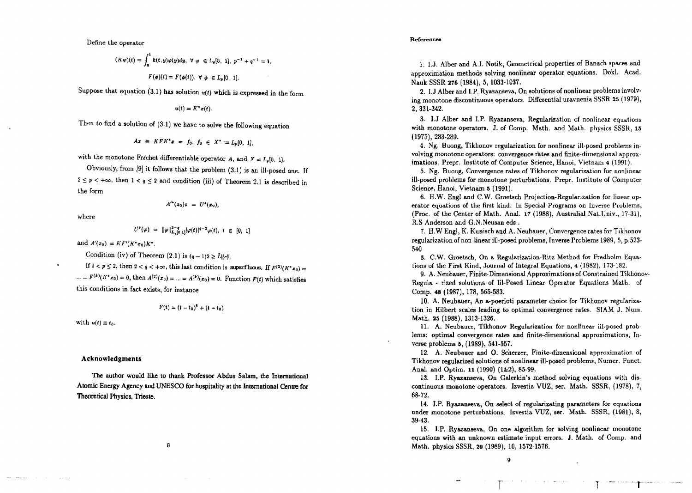Define the operator

$$
(K\varphi)(t) = \int_0^1 k(t,y)\varphi(y)dy, \ \forall \ \varphi \ \in L_q[0, 1], \ p^{-1} + q^{-1} = 1,
$$
  

$$
F(\phi)(t) = F(\phi(t)), \ \forall \ \phi \ \in L_p[0, 1].
$$

Suppose that equation (3.1) has solution  $u(t)$  which is expressed in the form

$$
u(t)=K^*x(t).
$$

Then to find a solution of  $(3.1)$  we have to solve the following equation

$$
Ax \equiv KFK^*x = f_0, f_0 \in X^* := L_p[0, 1],
$$

with the monotone Fréchet differentiable operator A, and  $X = L_q[0, 1]$ .

Obviously, from [9] it follows that the problem (3.1) is an ill-posed one. If  $2 \leq p < +\infty$ , then  $1 < q \leq 2$  and condition (iii) of Theorem 2.1 is described in the form

$$
A''(x_0)x = U'(x_0),
$$

where

$$
U^{*}(\varphi) = ||\varphi||_{L_{\eta}[0,1]}^{2-\eta} |\varphi(t)|^{q-2} \varphi(t), \ t \in [0, 1]
$$

and  $A'(x_0) = K F'(K^*x_0)K^*$ .

Condition (iv) of Theorem (2.1) is  $(q-1)2 \ge \bar{L}||z||$ .

If  $1 < p \leq 2$ , then  $2 < q < +\infty$ , this last condition is superfluous. If  $F^{(2)}(K^*x_0) =$ ... =  $F^{(k)}(K^*x_0) = 0$ , then  $A^{(2)}(x_0) = ... = A^{(k)}(x_0) = 0$ . Function  $F(t)$  which satisfies this conditions in fact exists, for instance

$$
F(t) = (t - t_0)^5 + (t - t_0)
$$

with  $u(t) \equiv t_0$ .

#### **Acknowledgments**

The author would like to thank Professor Abdus Salam, the International Atomic Energy Agency and UNESCO for hospitality at the International Centre for Theoretical Physics, Trieste.

#### **References**

1. I.J. Alber and A.I. Notik, Geometrical properties of Banach spaces and approximation methods solving nonlinear operator equations. Dokl. Acad. Nauk SSSR 276 (1984), 5, 1033-1037.

2. I.J Alber and I.P. Ryazanseva, On solutions of nonlinear problems involving monotone discontinuous operators. Differential uravnenia SSSR 25 (1979), 2, 331-342.

3. I.J Alber and I.P. Ryazanseva, Regularization of nonlinear equations with monotone operators, J. of Comp. Math, and Math, physics SSSR, 15 (1975), 283-289.

4. Ng. Buong, Tikhonov regularization for nonlinear ill-posed problems involving monotone operators: convergence rates and finite-dimensional approx imations. Prepr. Institute of Computer Science, Hanoi, Vietnam 4 (1991).

5. Ng. Buong, Convergence rates of Tikhonov regularization for nonlinear ill-posed problems for monotone perturbations. Prepr. Institute of Computer Science, Hanoi, Vietnam 5 (1991).

6. H.W. Engl and C.W. Groetsch Projection-Regularization for linear operator equations of the first kind. In Special Programs on Inverse Problems, (Proc. of the Center of Math. Anal. IT (1988), Australial Nat.Univ., 17-31), R.S Anderson and G.N.Neusan eds .

7. H.W Engl, K. Kunisch and A. Neubauer, Convergence rates for Tikhonov regularization of non-linear ill-posed problems, Inverse Problems 1989, 5, p.523- 540

8. C.W. Groetsch, On a Regularization-Ritz Method for Fredholm Equations of the First Kind, Journal of Integral Equations, 4 (1982), 173-182.

9. A. Neubauer, Finite-Dimensional Approximations of Constrained Tikhonov-Regula - rized solutions of lil-Posed Linear Operator Equations Math, of Comp. 48 (1987), 178, 565-583.

10. A. Neubauer, An a-poerioti parameter choice for Tikhonov regularization in Hilbert scales leading to optimal convergence rates. SIAM J. Num. Math. 25 (1988), 1313-1326.

11. A. Neubauer, Tikhonov Regularization for nonlinear ill-posed problems: optimal convergence rates and finite-dimensional approximations, Inverse problems 5, (1989), 541-557.

12. A. Neubauer and 0. Scherzer, Finite-dimensional approximation of Tikhonov regularized solutions of nonlinear ill-posed problems, Numer. Funct. Anal, and Optim. 11 (1990) (142), 85-99.

13. I.P. Ryazanseva, On Galerkin's method solving equations with discontinuous monotone operators. Izvestia VUZ, ser. Math. SSSR, (1978), 7, 68-72.

14. I.P. Ryazanseva, On select of regularizating parameters for equations under monotone perturbations. Izvestia VUZ, ser. Math. SSSR, (1981), 8, 39-43.

15. I.P. Ryazanseva, On one algorithm for solving nonlinear monotone equations with an unknown estimate input errors. J. Math, of Comp. and Math, physics SSSR, 29 (1989), 10, 1572-1576.

**r**